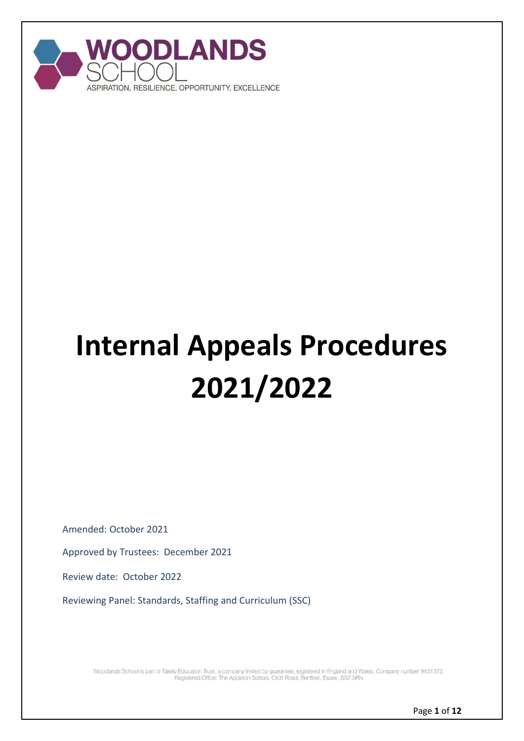

# **Internal Appeals Procedures 2021/2022**

Amended: October 2021

Approved by Trustees: December 2021

Review date: October 2022

Reviewing Panel: Standards, Staffing and Curriculum (SSC)

Woodlands School is part of Takely Education Trust, a company limited by guarantee, registered in England and Wales. Company number 9451372.<br>Pegistered Office: The Appleton School, Croft Road, Benfleet, Essex, SS7 5RN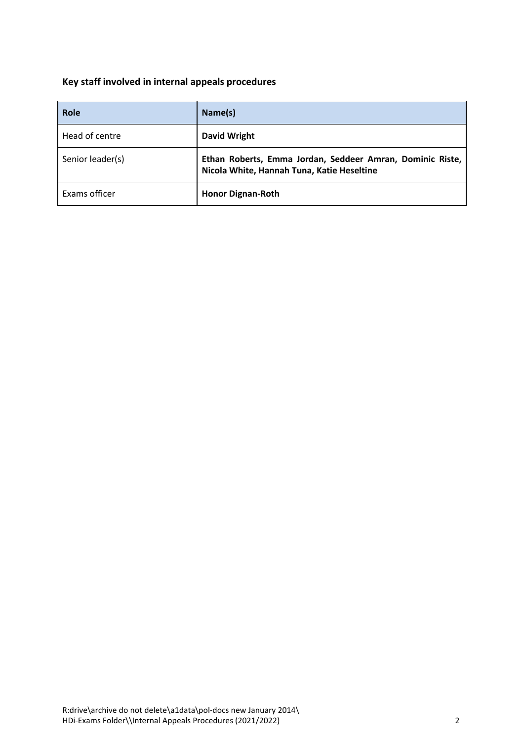# <span id="page-1-0"></span>**Key staff involved in internal appeals procedures**

| Role             | Name(s)                                                                                                 |
|------------------|---------------------------------------------------------------------------------------------------------|
| Head of centre   | David Wright                                                                                            |
| Senior leader(s) | Ethan Roberts, Emma Jordan, Seddeer Amran, Dominic Riste,<br>Nicola White, Hannah Tuna, Katie Heseltine |
| Exams officer    | <b>Honor Dignan-Roth</b>                                                                                |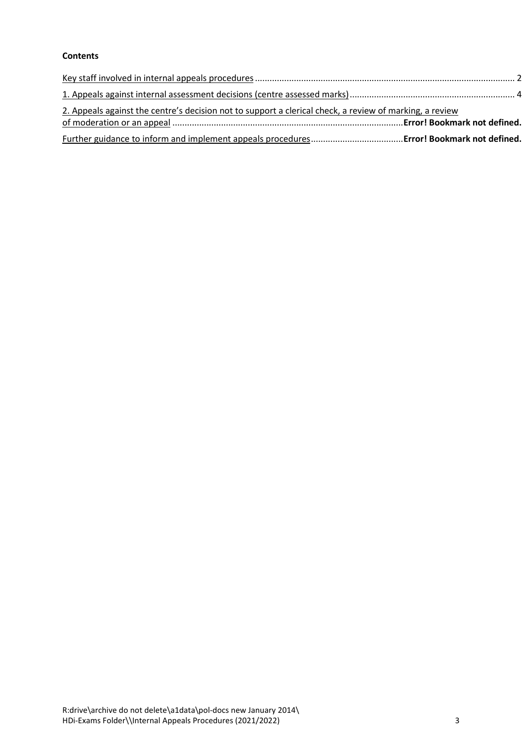## **Contents**

| 2. Appeals against the centre's decision not to support a clerical check, a review of marking, a review |  |
|---------------------------------------------------------------------------------------------------------|--|
|                                                                                                         |  |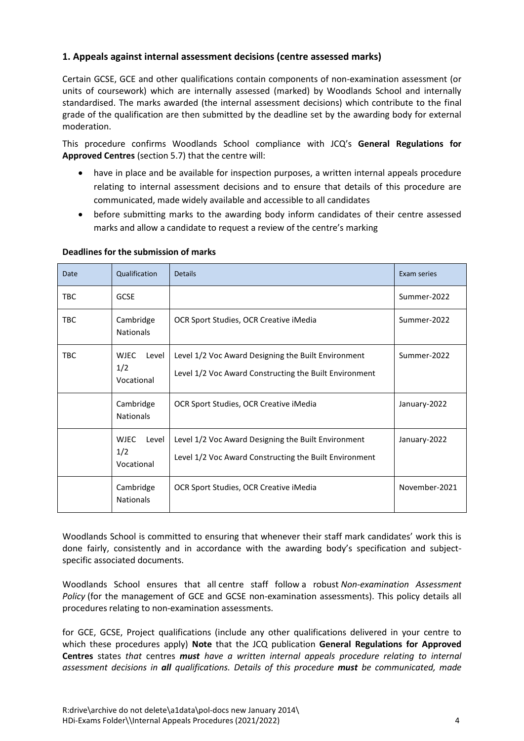## <span id="page-3-0"></span>**1. Appeals against internal assessment decisions (centre assessed marks)**

Certain GCSE, GCE and other qualifications contain components of non-examination assessment (or units of coursework) which are internally assessed (marked) by Woodlands School and internally standardised. The marks awarded (the internal assessment decisions) which contribute to the final grade of the qualification are then submitted by the deadline set by the awarding body for external moderation.

This procedure confirms Woodlands School compliance with JCQ's **General Regulations for Approved Centres** (section 5.7) that the centre will:

- have in place and be available for inspection purposes, a written internal appeals procedure relating to internal assessment decisions and to ensure that details of this procedure are communicated, made widely available and accessible to all candidates
- before submitting marks to the awarding body inform candidates of their centre assessed marks and allow a candidate to request a review of the centre's marking

| Date       | Qualification                             | <b>Details</b>                                                                                                | Exam series   |
|------------|-------------------------------------------|---------------------------------------------------------------------------------------------------------------|---------------|
| <b>TBC</b> | <b>GCSE</b>                               |                                                                                                               | Summer-2022   |
| <b>TBC</b> | Cambridge<br><b>Nationals</b>             | OCR Sport Studies, OCR Creative iMedia                                                                        | Summer-2022   |
| <b>TBC</b> | <b>WJEC</b><br>Level<br>1/2<br>Vocational | Level 1/2 Voc Award Designing the Built Environment<br>Level 1/2 Voc Award Constructing the Built Environment | Summer-2022   |
|            | Cambridge<br><b>Nationals</b>             | OCR Sport Studies, OCR Creative iMedia                                                                        | January-2022  |
|            | <b>WJEC</b><br>Level<br>1/2<br>Vocational | Level 1/2 Voc Award Designing the Built Environment<br>Level 1/2 Voc Award Constructing the Built Environment | January-2022  |
|            | Cambridge<br><b>Nationals</b>             | OCR Sport Studies, OCR Creative iMedia                                                                        | November-2021 |

#### **Deadlines for the submission of marks**

Woodlands School is committed to ensuring that whenever their staff mark candidates' work this is done fairly, consistently and in accordance with the awarding body's specification and subjectspecific associated documents.

Woodlands School ensures that all centre staff follow a robust *Non-examination Assessment Policy* (for the management of GCE and GCSE non-examination assessments). This policy details all procedures relating to non-examination assessments.

for GCE, GCSE, Project qualifications (include any other qualifications delivered in your centre to which these procedures apply) **Note** that the JCQ publication **General Regulations for Approved Centres** states *that* centres *must have a written internal appeals procedure relating to internal assessment decisions in all qualifications. Details of this procedure must be communicated, made*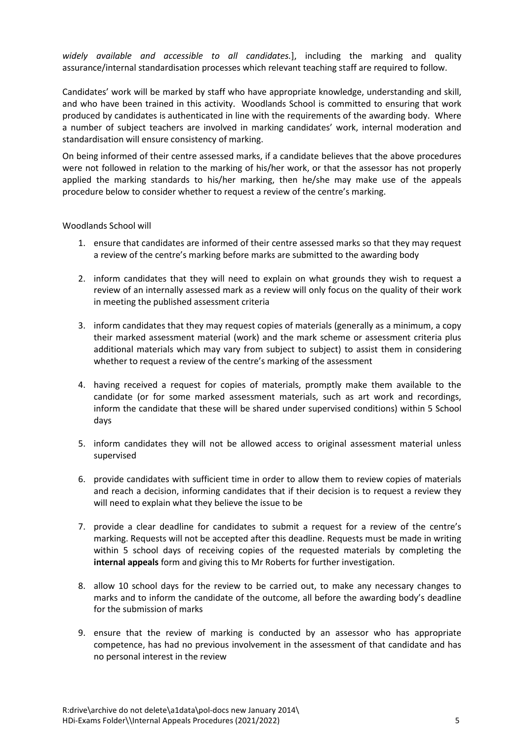*widely available and accessible to all candidates.*], including the marking and quality assurance/internal standardisation processes which relevant teaching staff are required to follow.

Candidates' work will be marked by staff who have appropriate knowledge, understanding and skill, and who have been trained in this activity. Woodlands School is committed to ensuring that work produced by candidates is authenticated in line with the requirements of the awarding body. Where a number of subject teachers are involved in marking candidates' work, internal moderation and standardisation will ensure consistency of marking.

On being informed of their centre assessed marks, if a candidate believes that the above procedures were not followed in relation to the marking of his/her work, or that the assessor has not properly applied the marking standards to his/her marking, then he/she may make use of the appeals procedure below to consider whether to request a review of the centre's marking.

#### Woodlands School will

- 1. ensure that candidates are informed of their centre assessed marks so that they may request a review of the centre's marking before marks are submitted to the awarding body
- 2. inform candidates that they will need to explain on what grounds they wish to request a review of an internally assessed mark as a review will only focus on the quality of their work in meeting the published assessment criteria
- 3. inform candidates that they may request copies of materials (generally as a minimum, a copy their marked assessment material (work) and the mark scheme or assessment criteria plus additional materials which may vary from subject to subject) to assist them in considering whether to request a review of the centre's marking of the assessment
- 4. having received a request for copies of materials, promptly make them available to the candidate (or for some marked assessment materials, such as art work and recordings, inform the candidate that these will be shared under supervised conditions) within 5 School days
- 5. inform candidates they will not be allowed access to original assessment material unless supervised
- 6. provide candidates with sufficient time in order to allow them to review copies of materials and reach a decision, informing candidates that if their decision is to request a review they will need to explain what they believe the issue to be
- 7. provide a clear deadline for candidates to submit a request for a review of the centre's marking. Requests will not be accepted after this deadline. Requests must be made in writing within 5 school days of receiving copies of the requested materials by completing the **internal appeals** form and giving this to Mr Roberts for further investigation.
- 8. allow 10 school days for the review to be carried out, to make any necessary changes to marks and to inform the candidate of the outcome, all before the awarding body's deadline for the submission of marks
- 9. ensure that the review of marking is conducted by an assessor who has appropriate competence, has had no previous involvement in the assessment of that candidate and has no personal interest in the review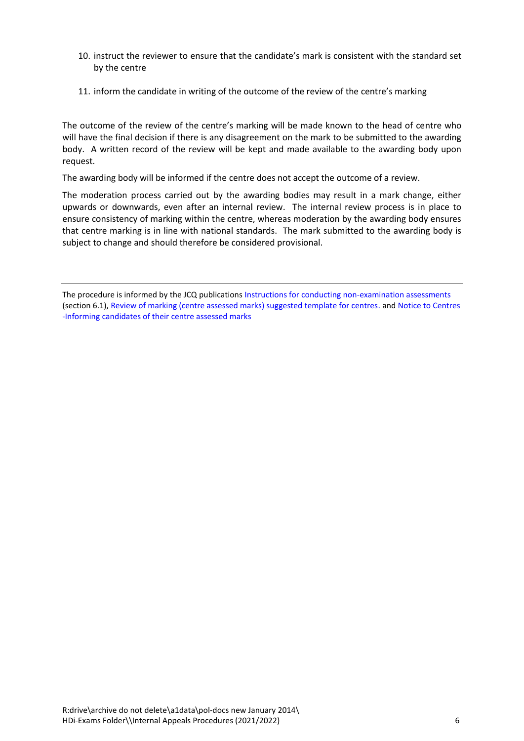- 10. instruct the reviewer to ensure that the candidate's mark is consistent with the standard set by the centre
- 11. inform the candidate in writing of the outcome of the review of the centre's marking

The outcome of the review of the centre's marking will be made known to the head of centre who will have the final decision if there is any disagreement on the mark to be submitted to the awarding body. A written record of the review will be kept and made available to the awarding body upon request.

The awarding body will be informed if the centre does not accept the outcome of a review.

The moderation process carried out by the awarding bodies may result in a mark change, either upwards or downwards, even after an internal review. The internal review process is in place to ensure consistency of marking within the centre, whereas moderation by the awarding body ensures that centre marking is in line with national standards. The mark submitted to the awarding body is subject to change and should therefore be considered provisional.

The procedure is informed by the JCQ publications [Instructions for conducting non-examination assessments](https://www.jcq.org.uk/exams-office/non-examination-assessments) (section 6.1), [Review of marking \(centre assessed marks\) suggested template for centres.](https://www.jcq.org.uk/exams-office/non-examination-assessments) and [Notice to Centres](https://www.jcq.org.uk/exams-office/non-examination-assessments)  [-Informing candidates of their centre assessed marks](https://www.jcq.org.uk/exams-office/non-examination-assessments)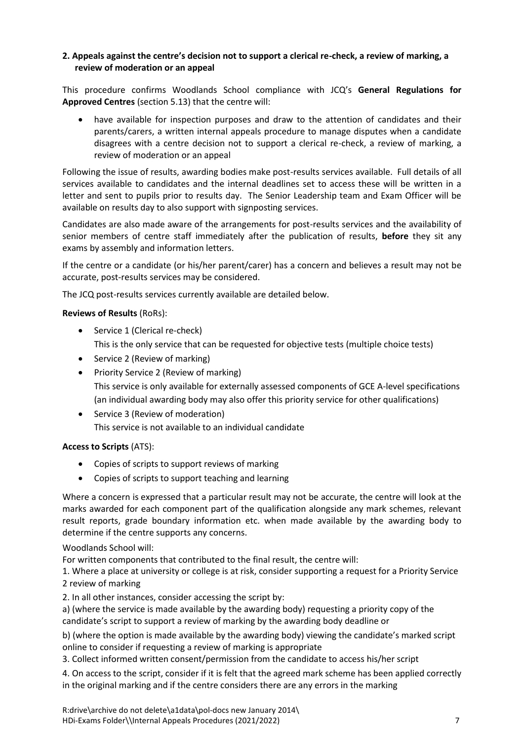#### **2. Appeals against the centre's decision not to support a clerical re-check, a review of marking, a review of moderation or an appeal**

This procedure confirms Woodlands School compliance with JCQ's **General Regulations for Approved Centres** (section 5.13) that the centre will:

 have available for inspection purposes and draw to the attention of candidates and their parents/carers, a written internal appeals procedure to manage disputes when a candidate disagrees with a centre decision not to support a clerical re-check, a review of marking, a review of moderation or an appeal

Following the issue of results, awarding bodies make post-results services available. Full details of all services available to candidates and the internal deadlines set to access these will be written in a letter and sent to pupils prior to results day. The Senior Leadership team and Exam Officer will be available on results day to also support with signposting services.

Candidates are also made aware of the arrangements for post-results services and the availability of senior members of centre staff immediately after the publication of results, **before** they sit any exams by assembly and information letters.

If the centre or a candidate (or his/her parent/carer) has a concern and believes a result may not be accurate, post-results services may be considered.

The JCQ post-results services currently available are detailed below.

#### **Reviews of Results** (RoRs):

- Service 1 (Clerical re-check) This is the only service that can be requested for objective tests (multiple choice tests)
- Service 2 (Review of marking)
- Priority Service 2 (Review of marking) This service is only available for externally assessed components of GCE A-level specifications (an individual awarding body may also offer this priority service for other qualifications)
- Service 3 (Review of moderation) This service is not available to an individual candidate

#### **Access to Scripts** (ATS):

- Copies of scripts to support reviews of marking
- Copies of scripts to support teaching and learning

Where a concern is expressed that a particular result may not be accurate, the centre will look at the marks awarded for each component part of the qualification alongside any mark schemes, relevant result reports, grade boundary information etc. when made available by the awarding body to determine if the centre supports any concerns.

#### Woodlands School will:

For written components that contributed to the final result, the centre will:

1. Where a place at university or college is at risk, consider supporting a request for a Priority Service 2 review of marking

2. In all other instances, consider accessing the script by:

a) (where the service is made available by the awarding body) requesting a priority copy of the candidate's script to support a review of marking by the awarding body deadline or

b) (where the option is made available by the awarding body) viewing the candidate's marked script online to consider if requesting a review of marking is appropriate

3. Collect informed written consent/permission from the candidate to access his/her script

4. On access to the script, consider if it is felt that the agreed mark scheme has been applied correctly in the original marking and if the centre considers there are any errors in the marking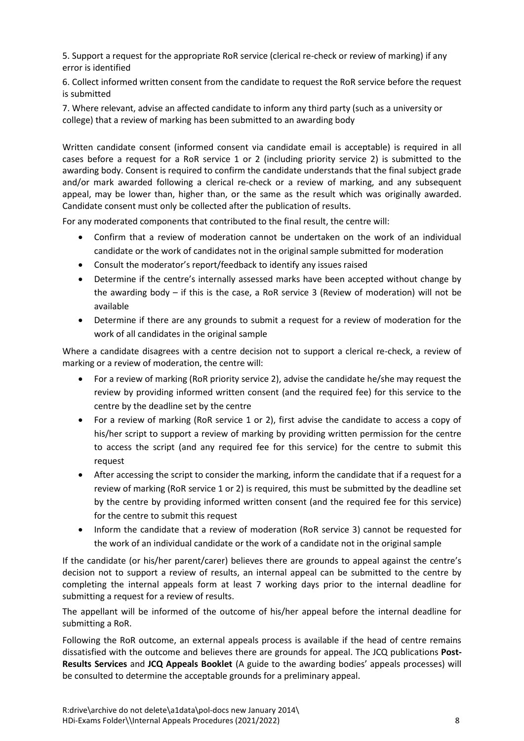5. Support a request for the appropriate RoR service (clerical re-check or review of marking) if any error is identified

6. Collect informed written consent from the candidate to request the RoR service before the request is submitted

7. Where relevant, advise an affected candidate to inform any third party (such as a university or college) that a review of marking has been submitted to an awarding body

Written candidate consent (informed consent via candidate email is acceptable) is required in all cases before a request for a RoR service 1 or 2 (including priority service 2) is submitted to the awarding body. Consent is required to confirm the candidate understands that the final subject grade and/or mark awarded following a clerical re-check or a review of marking, and any subsequent appeal, may be lower than, higher than, or the same as the result which was originally awarded. Candidate consent must only be collected after the publication of results.

For any moderated components that contributed to the final result, the centre will:

- Confirm that a review of moderation cannot be undertaken on the work of an individual candidate or the work of candidates not in the original sample submitted for moderation
- Consult the moderator's report/feedback to identify any issues raised
- Determine if the centre's internally assessed marks have been accepted without change by the awarding body – if this is the case, a RoR service 3 (Review of moderation) will not be available
- Determine if there are any grounds to submit a request for a review of moderation for the work of all candidates in the original sample

Where a candidate disagrees with a centre decision not to support a clerical re-check, a review of marking or a review of moderation, the centre will:

- For a review of marking (RoR priority service 2), advise the candidate he/she may request the review by providing informed written consent (and the required fee) for this service to the centre by the deadline set by the centre
- For a review of marking (RoR service 1 or 2), first advise the candidate to access a copy of his/her script to support a review of marking by providing written permission for the centre to access the script (and any required fee for this service) for the centre to submit this request
- After accessing the script to consider the marking, inform the candidate that if a request for a review of marking (RoR service 1 or 2) is required, this must be submitted by the deadline set by the centre by providing informed written consent (and the required fee for this service) for the centre to submit this request
- Inform the candidate that a review of moderation (RoR service 3) cannot be requested for the work of an individual candidate or the work of a candidate not in the original sample

If the candidate (or his/her parent/carer) believes there are grounds to appeal against the centre's decision not to support a review of results, an internal appeal can be submitted to the centre by completing the internal appeals form at least 7 working days prior to the internal deadline for submitting a request for a review of results.

The appellant will be informed of the outcome of his/her appeal before the internal deadline for submitting a RoR.

Following the RoR outcome, an external appeals process is available if the head of centre remains dissatisfied with the outcome and believes there are grounds for appeal. The JCQ publications **Post-Results Services** and **JCQ Appeals Booklet** (A guide to the awarding bodies' appeals processes) will be consulted to determine the acceptable grounds for a preliminary appeal.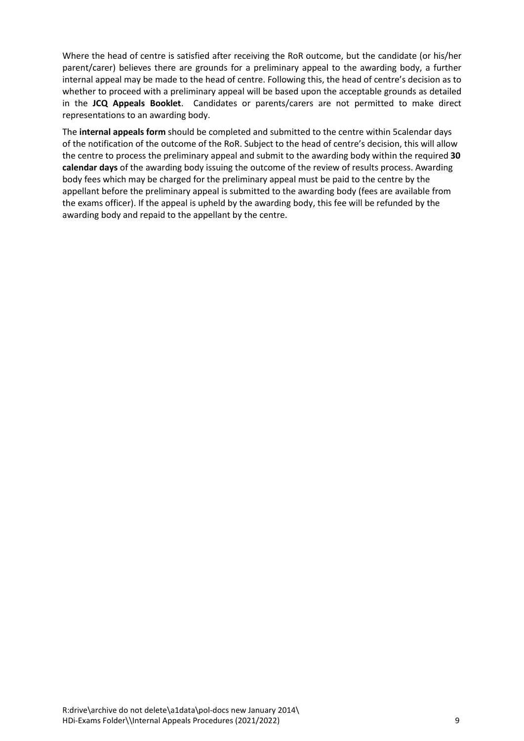Where the head of centre is satisfied after receiving the RoR outcome, but the candidate (or his/her parent/carer) believes there are grounds for a preliminary appeal to the awarding body, a further internal appeal may be made to the head of centre. Following this, the head of centre's decision as to whether to proceed with a preliminary appeal will be based upon the acceptable grounds as detailed in the **JCQ Appeals Booklet**. Candidates or parents/carers are not permitted to make direct representations to an awarding body.

The **internal appeals form** should be completed and submitted to the centre within 5calendar days of the notification of the outcome of the RoR. Subject to the head of centre's decision, this will allow the centre to process the preliminary appeal and submit to the awarding body within the required **30 calendar days** of the awarding body issuing the outcome of the review of results process. Awarding body fees which may be charged for the preliminary appeal must be paid to the centre by the appellant before the preliminary appeal is submitted to the awarding body (fees are available from the exams officer). If the appeal is upheld by the awarding body, this fee will be refunded by the awarding body and repaid to the appellant by the centre.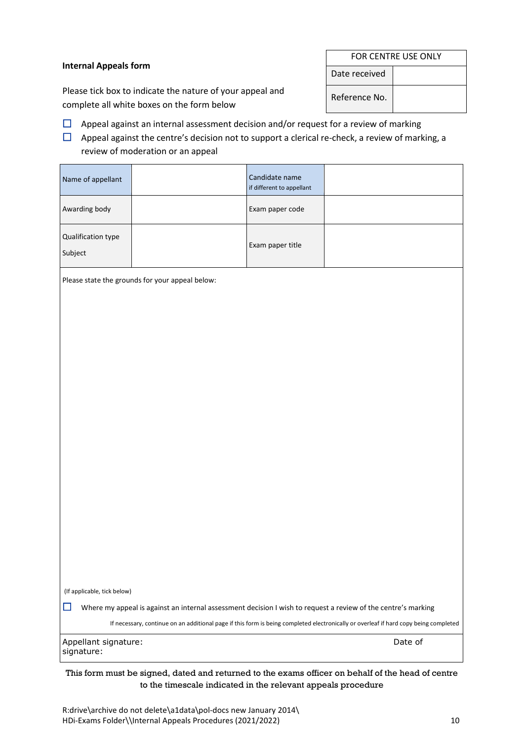#### **Internal Appeals form**

Please tick box to indicate the nature of your appeal and complete all white boxes on the form below

Name of appellant Candidate name

 $\Box$  Appeal against an internal assessment decision and/or request for a review of marking

 $\Box$  Appeal against the centre's decision not to support a clerical re-check, a review of marking, a review of moderation or an appeal

if different to appellant

| Awarding body                      |                                                                                                               | Exam paper code  |                                                                                                                                      |
|------------------------------------|---------------------------------------------------------------------------------------------------------------|------------------|--------------------------------------------------------------------------------------------------------------------------------------|
| Qualification type<br>Subject      |                                                                                                               | Exam paper title |                                                                                                                                      |
|                                    | Please state the grounds for your appeal below:                                                               |                  |                                                                                                                                      |
|                                    |                                                                                                               |                  |                                                                                                                                      |
|                                    |                                                                                                               |                  |                                                                                                                                      |
|                                    |                                                                                                               |                  |                                                                                                                                      |
|                                    |                                                                                                               |                  |                                                                                                                                      |
|                                    |                                                                                                               |                  |                                                                                                                                      |
|                                    |                                                                                                               |                  |                                                                                                                                      |
|                                    |                                                                                                               |                  |                                                                                                                                      |
|                                    |                                                                                                               |                  |                                                                                                                                      |
|                                    |                                                                                                               |                  |                                                                                                                                      |
|                                    |                                                                                                               |                  |                                                                                                                                      |
|                                    |                                                                                                               |                  |                                                                                                                                      |
|                                    |                                                                                                               |                  |                                                                                                                                      |
|                                    |                                                                                                               |                  |                                                                                                                                      |
|                                    |                                                                                                               |                  |                                                                                                                                      |
| (If applicable, tick below)<br>□   | Where my appeal is against an internal assessment decision I wish to request a review of the centre's marking |                  |                                                                                                                                      |
|                                    |                                                                                                               |                  | If necessary, continue on an additional page if this form is being completed electronically or overleaf if hard copy being completed |
| Appellant signature:<br>signature: |                                                                                                               |                  | Date of                                                                                                                              |
|                                    |                                                                                                               |                  | This form must be signed, dated and returned to the exams officer on behalf of the head of centre                                    |

| FOR CENTRE USE ONLY |  |  |
|---------------------|--|--|
| Date received       |  |  |
| Reference No.       |  |  |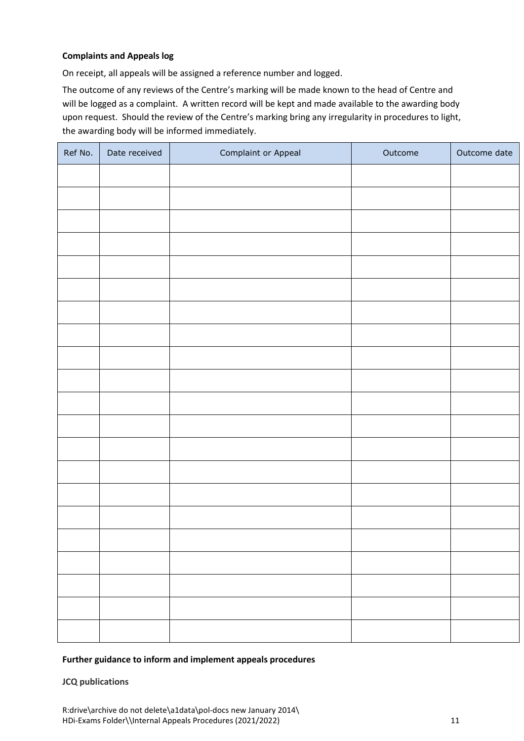#### **Complaints and Appeals log**

On receipt, all appeals will be assigned a reference number and logged.

The outcome of any reviews of the Centre's marking will be made known to the head of Centre and will be logged as a complaint. A written record will be kept and made available to the awarding body upon request. Should the review of the Centre's marking bring any irregularity in procedures to light, the awarding body will be informed immediately.

| Ref No. | Date received | Complaint or Appeal | Outcome | Outcome date |
|---------|---------------|---------------------|---------|--------------|
|         |               |                     |         |              |
|         |               |                     |         |              |
|         |               |                     |         |              |
|         |               |                     |         |              |
|         |               |                     |         |              |
|         |               |                     |         |              |
|         |               |                     |         |              |
|         |               |                     |         |              |
|         |               |                     |         |              |
|         |               |                     |         |              |
|         |               |                     |         |              |
|         |               |                     |         |              |
|         |               |                     |         |              |
|         |               |                     |         |              |
|         |               |                     |         |              |
|         |               |                     |         |              |
|         |               |                     |         |              |
|         |               |                     |         |              |
|         |               |                     |         |              |
|         |               |                     |         |              |
|         |               |                     |         |              |

#### **Further guidance to inform and implement appeals procedures**

**JCQ publications**

R:drive\archive do not delete\a1data\pol-docs new January 2014\ HDi-Exams Folder\\Internal Appeals Procedures (2021/2022) 11